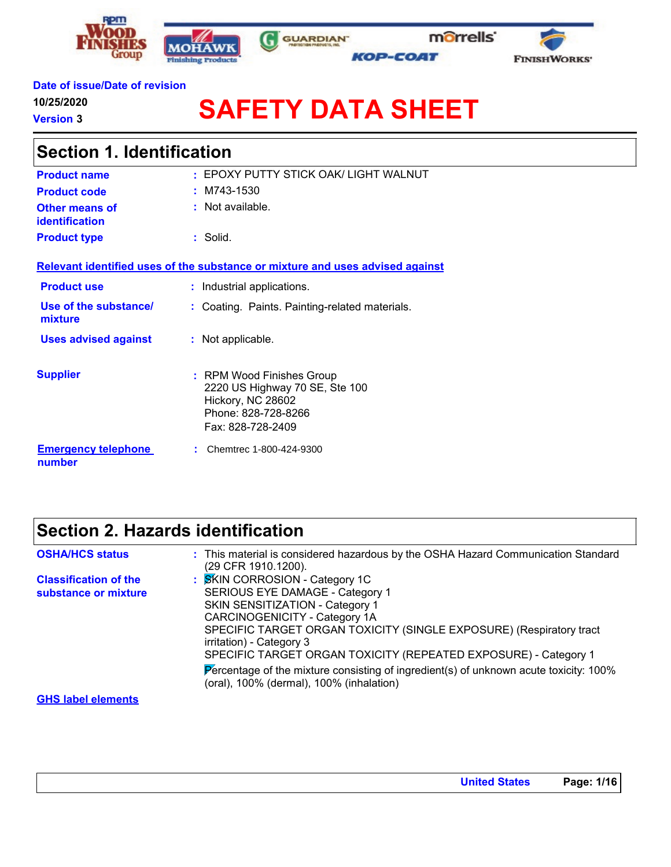





### **Date of issue/Date of revision**

**10/25/2020**

**Version 3**

'n

# **SAFETY DATA SHEET**

| <b>Section 1. Identification</b>        |                                                                                                                              |  |  |  |
|-----------------------------------------|------------------------------------------------------------------------------------------------------------------------------|--|--|--|
| <b>Product name</b>                     | : EPOXY PUTTY STICK OAK/ LIGHT WALNUT                                                                                        |  |  |  |
| <b>Product code</b>                     | $~:$ M743-1530                                                                                                               |  |  |  |
| Other means of<br><b>identification</b> | $:$ Not available.                                                                                                           |  |  |  |
| <b>Product type</b>                     | $:$ Solid.                                                                                                                   |  |  |  |
|                                         | Relevant identified uses of the substance or mixture and uses advised against                                                |  |  |  |
| <b>Product use</b>                      | : Industrial applications.                                                                                                   |  |  |  |
| Use of the substance/<br>mixture        | : Coating. Paints. Painting-related materials.                                                                               |  |  |  |
| <b>Uses advised against</b>             | : Not applicable.                                                                                                            |  |  |  |
| <b>Supplier</b>                         | : RPM Wood Finishes Group<br>2220 US Highway 70 SE, Ste 100<br>Hickory, NC 28602<br>Phone: 828-728-8266<br>Fax: 828-728-2409 |  |  |  |
| <b>Emergency telephone</b><br>number    | Chemtrec 1-800-424-9300                                                                                                      |  |  |  |

G

### **Section 2. Hazards identification**

| <b>OSHA/HCS status</b>                               | : This material is considered hazardous by the OSHA Hazard Communication Standard                                                                                          |
|------------------------------------------------------|----------------------------------------------------------------------------------------------------------------------------------------------------------------------------|
| <b>Classification of the</b><br>substance or mixture | (29 CFR 1910.1200).<br>: SKIN CORROSION - Category 1C<br><b>SERIOUS EYE DAMAGE - Category 1</b>                                                                            |
|                                                      | <b>SKIN SENSITIZATION - Category 1</b><br>CARCINOGENICITY - Category 1A<br>SPECIFIC TARGET ORGAN TOXICITY (SINGLE EXPOSURE) (Respiratory tract<br>irritation) - Category 3 |
|                                                      | SPECIFIC TARGET ORGAN TOXICITY (REPEATED EXPOSURE) - Category 1<br>Percentage of the mixture consisting of ingredient(s) of unknown acute toxicity: 100%                   |
| <b>GHS label elements</b>                            | (oral), 100% (dermal), 100% (inhalation)                                                                                                                                   |
|                                                      |                                                                                                                                                                            |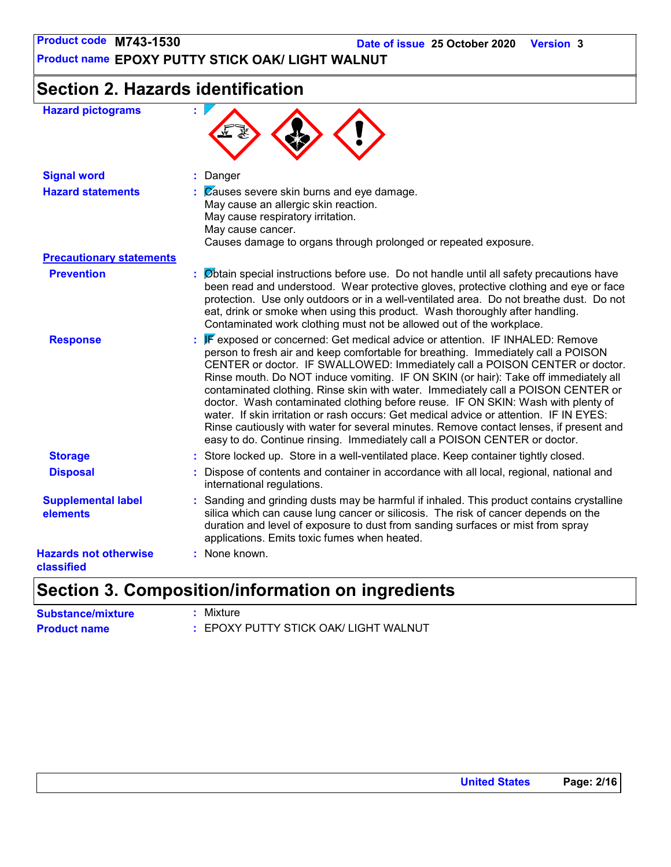**Product name EPOXY PUTTY STICK OAK/ LIGHT WALNUT**

### **Section 2. Hazards identification**

| <b>Hazard pictograms</b>                   | ×                                                                                                                                                                                                                                                                                                                                                                                                                                                                                                                                                                                                                                                                                                                                                                                  |
|--------------------------------------------|------------------------------------------------------------------------------------------------------------------------------------------------------------------------------------------------------------------------------------------------------------------------------------------------------------------------------------------------------------------------------------------------------------------------------------------------------------------------------------------------------------------------------------------------------------------------------------------------------------------------------------------------------------------------------------------------------------------------------------------------------------------------------------|
| <b>Signal word</b>                         | : Danger                                                                                                                                                                                                                                                                                                                                                                                                                                                                                                                                                                                                                                                                                                                                                                           |
| <b>Hazard statements</b>                   | $\mathcal{L}$ $\mathbb{Z}$ auses severe skin burns and eye damage.<br>May cause an allergic skin reaction.<br>May cause respiratory irritation.<br>May cause cancer.<br>Causes damage to organs through prolonged or repeated exposure.                                                                                                                                                                                                                                                                                                                                                                                                                                                                                                                                            |
| <b>Precautionary statements</b>            |                                                                                                                                                                                                                                                                                                                                                                                                                                                                                                                                                                                                                                                                                                                                                                                    |
| <b>Prevention</b>                          | $\therefore$ Øbtain special instructions before use. Do not handle until all safety precautions have<br>been read and understood. Wear protective gloves, protective clothing and eye or face<br>protection. Use only outdoors or in a well-ventilated area. Do not breathe dust. Do not<br>eat, drink or smoke when using this product. Wash thoroughly after handling.<br>Contaminated work clothing must not be allowed out of the workplace.                                                                                                                                                                                                                                                                                                                                   |
| <b>Response</b>                            | : F exposed or concerned: Get medical advice or attention. IF INHALED: Remove<br>person to fresh air and keep comfortable for breathing. Immediately call a POISON<br>CENTER or doctor. IF SWALLOWED: Immediately call a POISON CENTER or doctor.<br>Rinse mouth. Do NOT induce vomiting. IF ON SKIN (or hair): Take off immediately all<br>contaminated clothing. Rinse skin with water. Immediately call a POISON CENTER or<br>doctor. Wash contaminated clothing before reuse. IF ON SKIN: Wash with plenty of<br>water. If skin irritation or rash occurs: Get medical advice or attention. IF IN EYES:<br>Rinse cautiously with water for several minutes. Remove contact lenses, if present and<br>easy to do. Continue rinsing. Immediately call a POISON CENTER or doctor. |
| <b>Storage</b>                             | : Store locked up. Store in a well-ventilated place. Keep container tightly closed.                                                                                                                                                                                                                                                                                                                                                                                                                                                                                                                                                                                                                                                                                                |
| <b>Disposal</b>                            | : Dispose of contents and container in accordance with all local, regional, national and<br>international regulations.                                                                                                                                                                                                                                                                                                                                                                                                                                                                                                                                                                                                                                                             |
| <b>Supplemental label</b><br>elements      | : Sanding and grinding dusts may be harmful if inhaled. This product contains crystalline<br>silica which can cause lung cancer or silicosis. The risk of cancer depends on the<br>duration and level of exposure to dust from sanding surfaces or mist from spray<br>applications. Emits toxic fumes when heated.                                                                                                                                                                                                                                                                                                                                                                                                                                                                 |
| <b>Hazards not otherwise</b><br>classified | : None known.                                                                                                                                                                                                                                                                                                                                                                                                                                                                                                                                                                                                                                                                                                                                                                      |

### **Section 3. Composition/information on ingredients**

| <b>Substance/mixture</b> | : Mixture                             |
|--------------------------|---------------------------------------|
| <b>Product name</b>      | : EPOXY PUTTY STICK OAK/ LIGHT WALNUT |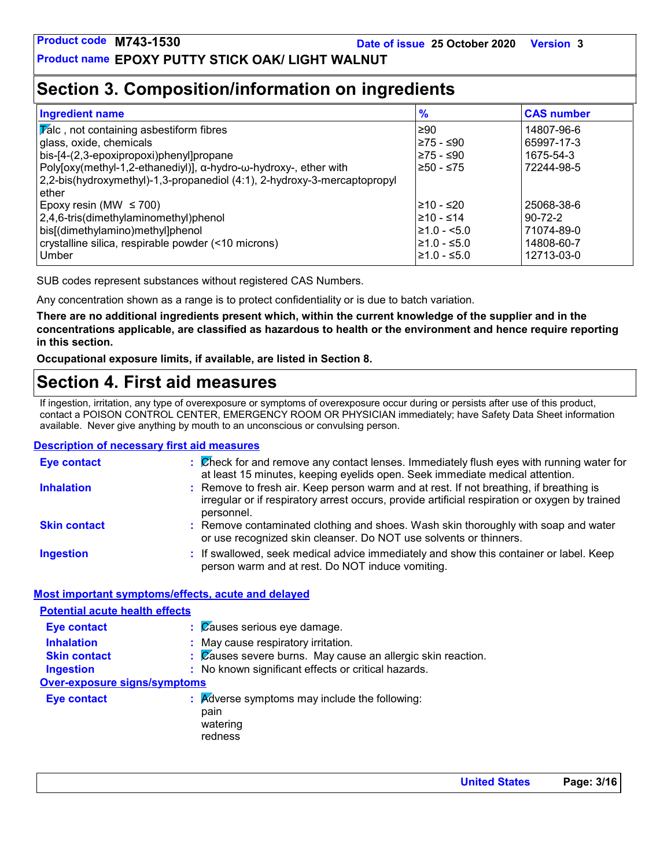**Product name EPOXY PUTTY STICK OAK/ LIGHT WALNUT**

### **Section 3. Composition/information on ingredients**

| <b>Ingredient name</b>                                                   | $\frac{9}{6}$ | <b>CAS number</b> |
|--------------------------------------------------------------------------|---------------|-------------------|
| $ \overline{V}$ alc, not containing asbestiform fibres                   | l≥90          | 14807-96-6        |
| glass, oxide, chemicals                                                  | ≥75 - ≤90     | 65997-17-3        |
| bis-[4-(2,3-epoxipropoxi)phenyl]propane                                  | 275 - ≤90     | 1675-54-3         |
| Poly[oxy(methyl-1,2-ethanediyl)], α-hydro-ω-hydroxy-, ether with         | !≥50 - ≤75    | 72244-98-5        |
| 2,2-bis(hydroxymethyl)-1,3-propanediol (4:1), 2-hydroxy-3-mercaptopropyl |               |                   |
| ether                                                                    |               |                   |
| Epoxy resin (MW $\leq$ 700)                                              | l≥10 - ≤20    | 25068-38-6        |
| 2,4,6-tris(dimethylaminomethyl)phenol                                    | l≥10 - ≤14    | $90 - 72 - 2$     |
| bis[(dimethylamino)methyl]phenol                                         | l≥1.0 - <5.0  | 71074-89-0        |
| crystalline silica, respirable powder (<10 microns)                      | $≥1.0 - ≤5.0$ | 14808-60-7        |
| Umber                                                                    | $≥1.0 - ≤5.0$ | 12713-03-0        |

SUB codes represent substances without registered CAS Numbers.

Any concentration shown as a range is to protect confidentiality or is due to batch variation.

**There are no additional ingredients present which, within the current knowledge of the supplier and in the concentrations applicable, are classified as hazardous to health or the environment and hence require reporting in this section.**

**Occupational exposure limits, if available, are listed in Section 8.**

### **Section 4. First aid measures**

If ingestion, irritation, any type of overexposure or symptoms of overexposure occur during or persists after use of this product, contact a POISON CONTROL CENTER, EMERGENCY ROOM OR PHYSICIAN immediately; have Safety Data Sheet information available. Never give anything by mouth to an unconscious or convulsing person.

#### **Description of necessary first aid measures**

| <b>Eye contact</b>  | : Check for and remove any contact lenses. Immediately flush eyes with running water for<br>at least 15 minutes, keeping eyelids open. Seek immediate medical attention.                               |
|---------------------|--------------------------------------------------------------------------------------------------------------------------------------------------------------------------------------------------------|
| <b>Inhalation</b>   | : Remove to fresh air. Keep person warm and at rest. If not breathing, if breathing is<br>irregular or if respiratory arrest occurs, provide artificial respiration or oxygen by trained<br>personnel. |
| <b>Skin contact</b> | : Remove contaminated clothing and shoes. Wash skin thoroughly with soap and water<br>or use recognized skin cleanser. Do NOT use solvents or thinners.                                                |
| <b>Ingestion</b>    | : If swallowed, seek medical advice immediately and show this container or label. Keep<br>person warm and at rest. Do NOT induce vomiting.                                                             |

#### **Most important symptoms/effects, acute and delayed**

| <b>Potential acute health effects</b> |                                                                              |
|---------------------------------------|------------------------------------------------------------------------------|
| <b>Eye contact</b>                    | $\mathcal{C}$ $\alpha$ Causes serious eye damage.                            |
| <b>Inhalation</b>                     | : May cause respiratory irritation.                                          |
| <b>Skin contact</b>                   | : Causes severe burns. May cause an allergic skin reaction.                  |
| <b>Ingestion</b>                      | : No known significant effects or critical hazards.                          |
| Over-exposure signs/symptoms          |                                                                              |
| <b>Eye contact</b>                    | : Adverse symptoms may include the following:<br>pain<br>watering<br>redness |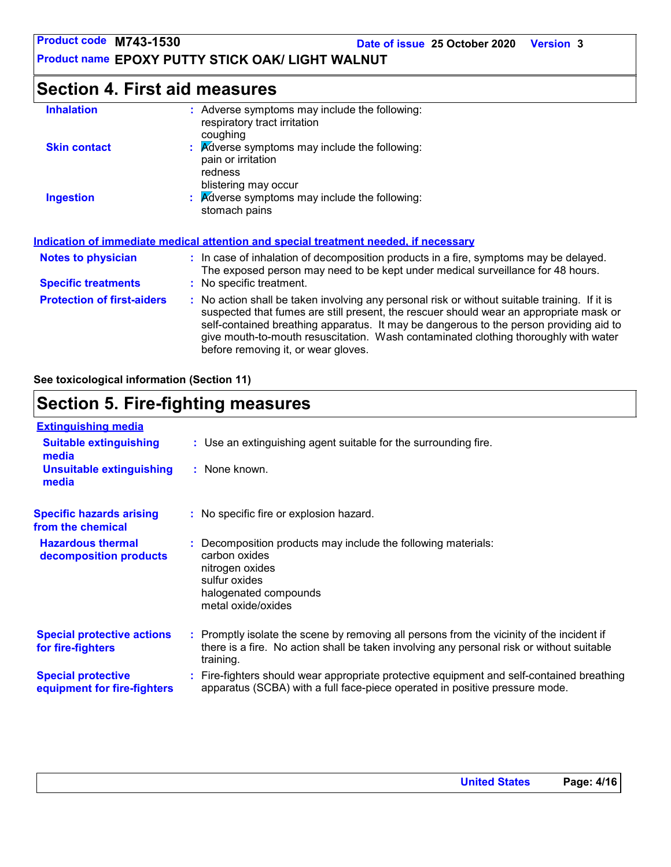**Product name EPOXY PUTTY STICK OAK/ LIGHT WALNUT**

### **Section 4. First aid measures**

| <b>Inhalation</b>                 | : Adverse symptoms may include the following:<br>respiratory tract irritation<br>coughing                                                                                                                                                                                                                                                                                                                       |  |  |  |
|-----------------------------------|-----------------------------------------------------------------------------------------------------------------------------------------------------------------------------------------------------------------------------------------------------------------------------------------------------------------------------------------------------------------------------------------------------------------|--|--|--|
| <b>Skin contact</b>               | $\therefore$ Adverse symptoms may include the following:<br>pain or irritation<br>redness<br>blistering may occur                                                                                                                                                                                                                                                                                               |  |  |  |
| <b>Ingestion</b>                  | $\therefore$ Adverse symptoms may include the following:<br>stomach pains                                                                                                                                                                                                                                                                                                                                       |  |  |  |
|                                   | Indication of immediate medical attention and special treatment needed, if necessary                                                                                                                                                                                                                                                                                                                            |  |  |  |
| <b>Notes to physician</b>         | : In case of inhalation of decomposition products in a fire, symptoms may be delayed.<br>The exposed person may need to be kept under medical surveillance for 48 hours.                                                                                                                                                                                                                                        |  |  |  |
| <b>Specific treatments</b>        | : No specific treatment.                                                                                                                                                                                                                                                                                                                                                                                        |  |  |  |
| <b>Protection of first-aiders</b> | : No action shall be taken involving any personal risk or without suitable training. If it is<br>suspected that fumes are still present, the rescuer should wear an appropriate mask or<br>self-contained breathing apparatus. It may be dangerous to the person providing aid to<br>give mouth-to-mouth resuscitation. Wash contaminated clothing thoroughly with water<br>before removing it, or wear gloves. |  |  |  |

**See toxicological information (Section 11)**

### **Section 5. Fire-fighting measures**

| <b>Extinguishing media</b>                               |                                                                                                                                                                                                     |
|----------------------------------------------------------|-----------------------------------------------------------------------------------------------------------------------------------------------------------------------------------------------------|
| <b>Suitable extinguishing</b><br>media                   | : Use an extinguishing agent suitable for the surrounding fire.                                                                                                                                     |
| <b>Unsuitable extinguishing</b><br>media                 | : None known.                                                                                                                                                                                       |
| <b>Specific hazards arising</b><br>from the chemical     | : No specific fire or explosion hazard.                                                                                                                                                             |
| <b>Hazardous thermal</b><br>decomposition products       | : Decomposition products may include the following materials:<br>carbon oxides<br>nitrogen oxides<br>sulfur oxides<br>halogenated compounds<br>metal oxide/oxides                                   |
| <b>Special protective actions</b><br>for fire-fighters   | : Promptly isolate the scene by removing all persons from the vicinity of the incident if<br>there is a fire. No action shall be taken involving any personal risk or without suitable<br>training. |
| <b>Special protective</b><br>equipment for fire-fighters | : Fire-fighters should wear appropriate protective equipment and self-contained breathing<br>apparatus (SCBA) with a full face-piece operated in positive pressure mode.                            |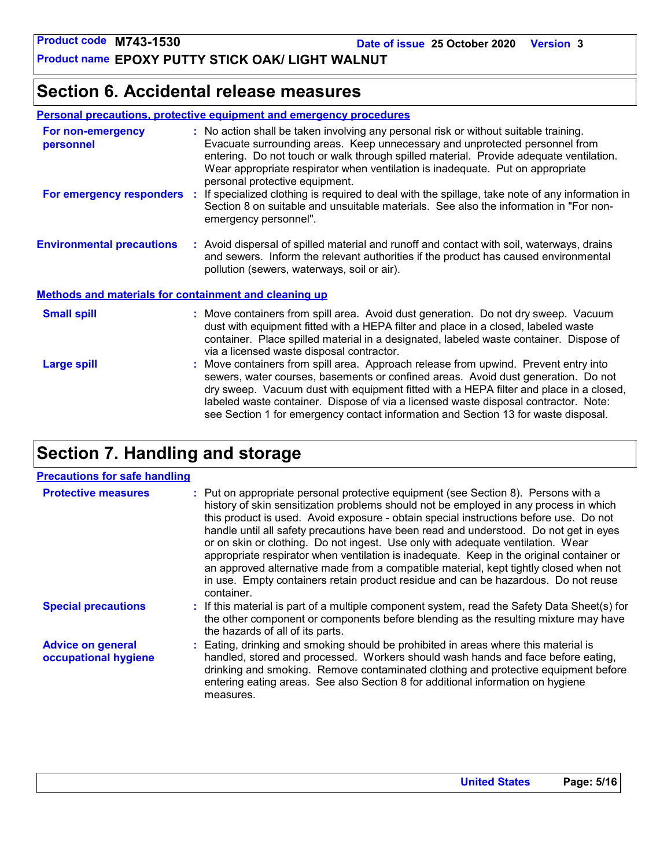**Product name EPOXY PUTTY STICK OAK/ LIGHT WALNUT**

### **Section 6. Accidental release measures**

| <b>Personal precautions, protective equipment and emergency procedures</b> |  |  |
|----------------------------------------------------------------------------|--|--|
|                                                                            |  |  |

| For non-emergency<br>personnel                               |    | : No action shall be taken involving any personal risk or without suitable training.<br>Evacuate surrounding areas. Keep unnecessary and unprotected personnel from<br>entering. Do not touch or walk through spilled material. Provide adequate ventilation.<br>Wear appropriate respirator when ventilation is inadequate. Put on appropriate<br>personal protective equipment.                                                               |  |  |
|--------------------------------------------------------------|----|-------------------------------------------------------------------------------------------------------------------------------------------------------------------------------------------------------------------------------------------------------------------------------------------------------------------------------------------------------------------------------------------------------------------------------------------------|--|--|
| For emergency responders                                     | ÷. | If specialized clothing is required to deal with the spillage, take note of any information in<br>Section 8 on suitable and unsuitable materials. See also the information in "For non-<br>emergency personnel".                                                                                                                                                                                                                                |  |  |
| <b>Environmental precautions</b>                             |    | : Avoid dispersal of spilled material and runoff and contact with soil, waterways, drains<br>and sewers. Inform the relevant authorities if the product has caused environmental<br>pollution (sewers, waterways, soil or air).                                                                                                                                                                                                                 |  |  |
| <b>Methods and materials for containment and cleaning up</b> |    |                                                                                                                                                                                                                                                                                                                                                                                                                                                 |  |  |
| <b>Small spill</b>                                           |    | : Move containers from spill area. Avoid dust generation. Do not dry sweep. Vacuum<br>dust with equipment fitted with a HEPA filter and place in a closed, labeled waste<br>container. Place spilled material in a designated, labeled waste container. Dispose of<br>via a licensed waste disposal contractor.                                                                                                                                 |  |  |
| <b>Large spill</b>                                           |    | : Move containers from spill area. Approach release from upwind. Prevent entry into<br>sewers, water courses, basements or confined areas. Avoid dust generation. Do not<br>dry sweep. Vacuum dust with equipment fitted with a HEPA filter and place in a closed,<br>labeled waste container. Dispose of via a licensed waste disposal contractor. Note:<br>see Section 1 for emergency contact information and Section 13 for waste disposal. |  |  |

### **Section 7. Handling and storage**

### **Precautions for safe handling**

| <b>Protective measures</b>                       | : Put on appropriate personal protective equipment (see Section 8). Persons with a<br>history of skin sensitization problems should not be employed in any process in which<br>this product is used. Avoid exposure - obtain special instructions before use. Do not<br>handle until all safety precautions have been read and understood. Do not get in eyes<br>or on skin or clothing. Do not ingest. Use only with adequate ventilation. Wear<br>appropriate respirator when ventilation is inadequate. Keep in the original container or<br>an approved alternative made from a compatible material, kept tightly closed when not<br>in use. Empty containers retain product residue and can be hazardous. Do not reuse<br>container. |
|--------------------------------------------------|-------------------------------------------------------------------------------------------------------------------------------------------------------------------------------------------------------------------------------------------------------------------------------------------------------------------------------------------------------------------------------------------------------------------------------------------------------------------------------------------------------------------------------------------------------------------------------------------------------------------------------------------------------------------------------------------------------------------------------------------|
| <b>Special precautions</b>                       | : If this material is part of a multiple component system, read the Safety Data Sheet(s) for<br>the other component or components before blending as the resulting mixture may have<br>the hazards of all of its parts.                                                                                                                                                                                                                                                                                                                                                                                                                                                                                                                   |
| <b>Advice on general</b><br>occupational hygiene | : Eating, drinking and smoking should be prohibited in areas where this material is<br>handled, stored and processed. Workers should wash hands and face before eating,<br>drinking and smoking. Remove contaminated clothing and protective equipment before<br>entering eating areas. See also Section 8 for additional information on hygiene<br>measures.                                                                                                                                                                                                                                                                                                                                                                             |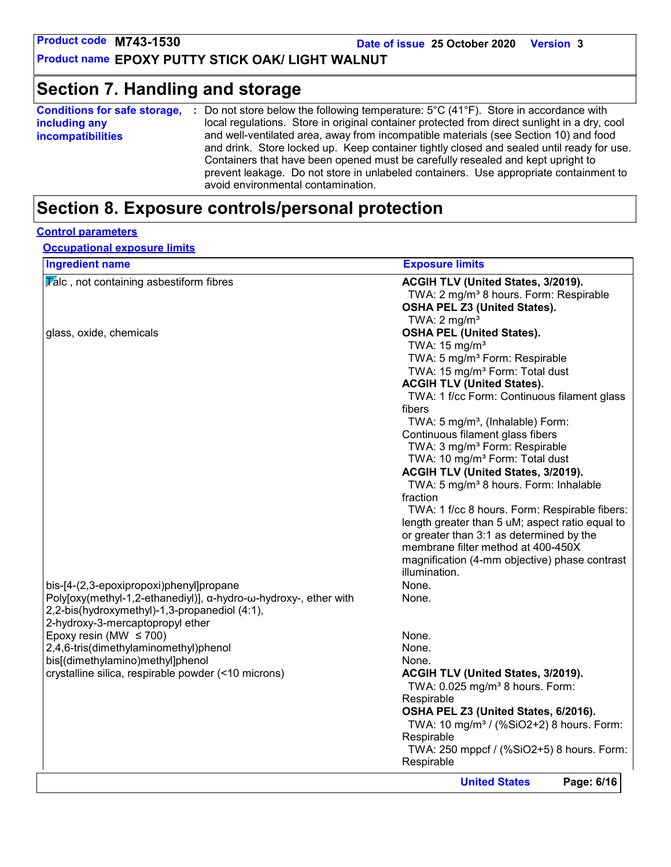**Product name EPOXY PUTTY STICK OAK/ LIGHT WALNUT**

### **Section 7. Handling and storage**

| <b>Conditions for safe storage,</b> | Do not store below the following temperature: $5^{\circ}$ C (41 $^{\circ}$ F). Store in accordance with                                                                                                                                                                                                                                                       |
|-------------------------------------|---------------------------------------------------------------------------------------------------------------------------------------------------------------------------------------------------------------------------------------------------------------------------------------------------------------------------------------------------------------|
| including any                       | local regulations. Store in original container protected from direct sunlight in a dry, cool                                                                                                                                                                                                                                                                  |
| <b>incompatibilities</b>            | and well-ventilated area, away from incompatible materials (see Section 10) and food<br>and drink. Store locked up. Keep container tightly closed and sealed until ready for use.<br>Containers that have been opened must be carefully resealed and kept upright to<br>prevent leakage. Do not store in unlabeled containers. Use appropriate containment to |
|                                     | avoid environmental contamination.                                                                                                                                                                                                                                                                                                                            |

### **Section 8. Exposure controls/personal protection**

#### **Control parameters**

**Occupational exposure limits**

| <b>Ingredient name</b>                                           | <b>Exposure limits</b>                               |
|------------------------------------------------------------------|------------------------------------------------------|
| $\overline{V}$ alc, not containing asbestiform fibres            | ACGIH TLV (United States, 3/2019).                   |
|                                                                  | TWA: 2 mg/m <sup>3</sup> 8 hours. Form: Respirable   |
|                                                                  | <b>OSHA PEL Z3 (United States).</b>                  |
|                                                                  | TWA: $2 \text{ mg/m}^3$                              |
| glass, oxide, chemicals                                          | <b>OSHA PEL (United States).</b>                     |
|                                                                  | TWA: $15 \text{ mg/m}^3$                             |
|                                                                  | TWA: 5 mg/m <sup>3</sup> Form: Respirable            |
|                                                                  | TWA: 15 mg/m <sup>3</sup> Form: Total dust           |
|                                                                  | <b>ACGIH TLV (United States).</b>                    |
|                                                                  | TWA: 1 f/cc Form: Continuous filament glass          |
|                                                                  | fibers                                               |
|                                                                  | TWA: 5 mg/m <sup>3</sup> , (Inhalable) Form:         |
|                                                                  | Continuous filament glass fibers                     |
|                                                                  | TWA: 3 mg/m <sup>3</sup> Form: Respirable            |
|                                                                  | TWA: 10 mg/m <sup>3</sup> Form: Total dust           |
|                                                                  | ACGIH TLV (United States, 3/2019).                   |
|                                                                  | TWA: 5 mg/m <sup>3</sup> 8 hours. Form: Inhalable    |
|                                                                  | fraction                                             |
|                                                                  | TWA: 1 f/cc 8 hours. Form: Respirable fibers:        |
|                                                                  | length greater than 5 uM; aspect ratio equal to      |
|                                                                  | or greater than 3:1 as determined by the             |
|                                                                  | membrane filter method at 400-450X                   |
|                                                                  | magnification (4-mm objective) phase contrast        |
|                                                                  | illumination.                                        |
| bis-[4-(2,3-epoxipropoxi)phenyl]propane                          | None.                                                |
| Poly[oxy(methyl-1,2-ethanediyl)], α-hydro-ω-hydroxy-, ether with | None.                                                |
| 2,2-bis(hydroxymethyl)-1,3-propanediol (4:1),                    |                                                      |
| 2-hydroxy-3-mercaptopropyl ether                                 |                                                      |
| Epoxy resin (MW $\leq$ 700)                                      | None.                                                |
| 2,4,6-tris(dimethylaminomethyl)phenol                            | None.                                                |
| bis[(dimethylamino)methyl]phenol                                 | None.                                                |
| crystalline silica, respirable powder (<10 microns)              | ACGIH TLV (United States, 3/2019).                   |
|                                                                  | TWA: 0.025 mg/m <sup>3</sup> 8 hours. Form:          |
|                                                                  | Respirable                                           |
|                                                                  | OSHA PEL Z3 (United States, 6/2016).                 |
|                                                                  | TWA: 10 mg/m <sup>3</sup> / (%SiO2+2) 8 hours. Form: |
|                                                                  | Respirable                                           |
|                                                                  | TWA: 250 mppcf / (%SiO2+5) 8 hours. Form:            |
|                                                                  | Respirable                                           |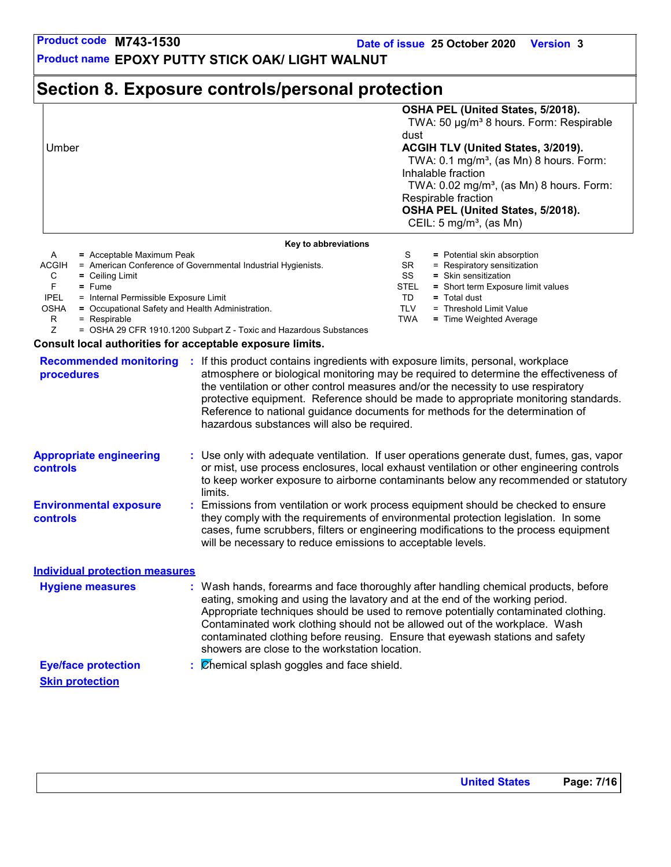**Product name EPOXY PUTTY STICK OAK/ LIGHT WALNUT**

### **Section 8. Exposure controls/personal protection**

| Umber                                                                     | OSHA PEL (United States, 5/2018).<br>TWA: 50 µg/m <sup>3</sup> 8 hours. Form: Respirable<br>dust<br>ACGIH TLV (United States, 3/2019).<br>TWA: $0.1 \text{ mg/m}^3$ , (as Mn) 8 hours. Form:<br>Inhalable fraction<br>TWA: $0.02 \text{ mg/m}^3$ , (as Mn) 8 hours. Form:<br>Respirable fraction<br>OSHA PEL (United States, 5/2018).<br>CEIL: $5 \text{ mg/m}^3$ , (as Mn) |  |
|---------------------------------------------------------------------------|-----------------------------------------------------------------------------------------------------------------------------------------------------------------------------------------------------------------------------------------------------------------------------------------------------------------------------------------------------------------------------|--|
| Key to abbreviations                                                      |                                                                                                                                                                                                                                                                                                                                                                             |  |
| A                                                                         | S                                                                                                                                                                                                                                                                                                                                                                           |  |
| $=$ Acceptable Maximum Peak                                               | = Potential skin absorption                                                                                                                                                                                                                                                                                                                                                 |  |
| <b>ACGIH</b>                                                              | SR.                                                                                                                                                                                                                                                                                                                                                                         |  |
| = American Conference of Governmental Industrial Hygienists.              | $=$ Respiratory sensitization                                                                                                                                                                                                                                                                                                                                               |  |
| C                                                                         | SS                                                                                                                                                                                                                                                                                                                                                                          |  |
| $=$ Ceiling Limit                                                         | $=$ Skin sensitization                                                                                                                                                                                                                                                                                                                                                      |  |
| F                                                                         | <b>STEL</b>                                                                                                                                                                                                                                                                                                                                                                 |  |
| $=$ Fume                                                                  | = Short term Exposure limit values                                                                                                                                                                                                                                                                                                                                          |  |
| <b>IPEL</b>                                                               | TD                                                                                                                                                                                                                                                                                                                                                                          |  |
| = Internal Permissible Exposure Limit                                     | $=$ Total dust                                                                                                                                                                                                                                                                                                                                                              |  |
| <b>OSHA</b>                                                               | <b>TLV</b>                                                                                                                                                                                                                                                                                                                                                                  |  |
| = Occupational Safety and Health Administration.                          | = Threshold Limit Value                                                                                                                                                                                                                                                                                                                                                     |  |
| R.                                                                        | <b>TWA</b>                                                                                                                                                                                                                                                                                                                                                                  |  |
| $=$ Respirable                                                            | = Time Weighted Average                                                                                                                                                                                                                                                                                                                                                     |  |
| Ζ<br>$=$ OSHA 29 CFR 1910.1200 Subpart Z - Toxic and Hazardous Substances |                                                                                                                                                                                                                                                                                                                                                                             |  |
| Consult local authorities for accontable expesure limits                  |                                                                                                                                                                                                                                                                                                                                                                             |  |

#### **Consult local authorities for acceptable exposure limits.**

| <b>Recommended monitoring</b><br>procedures      | If this product contains ingredients with exposure limits, personal, workplace<br>atmosphere or biological monitoring may be required to determine the effectiveness of<br>the ventilation or other control measures and/or the necessity to use respiratory<br>protective equipment. Reference should be made to appropriate monitoring standards.<br>Reference to national guidance documents for methods for the determination of<br>hazardous substances will also be required. |
|--------------------------------------------------|-------------------------------------------------------------------------------------------------------------------------------------------------------------------------------------------------------------------------------------------------------------------------------------------------------------------------------------------------------------------------------------------------------------------------------------------------------------------------------------|
| <b>Appropriate engineering</b><br>controls       | : Use only with adequate ventilation. If user operations generate dust, fumes, gas, vapor<br>or mist, use process enclosures, local exhaust ventilation or other engineering controls<br>to keep worker exposure to airborne contaminants below any recommended or statutory<br>limits.                                                                                                                                                                                             |
| <b>Environmental exposure</b><br><b>controls</b> | Emissions from ventilation or work process equipment should be checked to ensure<br>they comply with the requirements of environmental protection legislation. In some<br>cases, fume scrubbers, filters or engineering modifications to the process equipment<br>will be necessary to reduce emissions to acceptable levels.                                                                                                                                                       |
| <b>Individual protection measures</b>            |                                                                                                                                                                                                                                                                                                                                                                                                                                                                                     |
| <b>Hygiene measures</b>                          | : Wash hands, forearms and face thoroughly after handling chemical products, before<br>eating, smoking and using the lavatory and at the end of the working period.<br>Appropriate techniques should be used to remove potentially contaminated clothing.<br>Contaminated work clothing should not be allowed out of the workplace. Wash<br>contaminated clothing before reusing. Ensure that eyewash stations and safety<br>showers are close to the workstation location.         |
| <b>Eye/face protection</b>                       | $\therefore$ $\emptyset$ hemical splash goggles and face shield.                                                                                                                                                                                                                                                                                                                                                                                                                    |
| <b>Skin protection</b>                           |                                                                                                                                                                                                                                                                                                                                                                                                                                                                                     |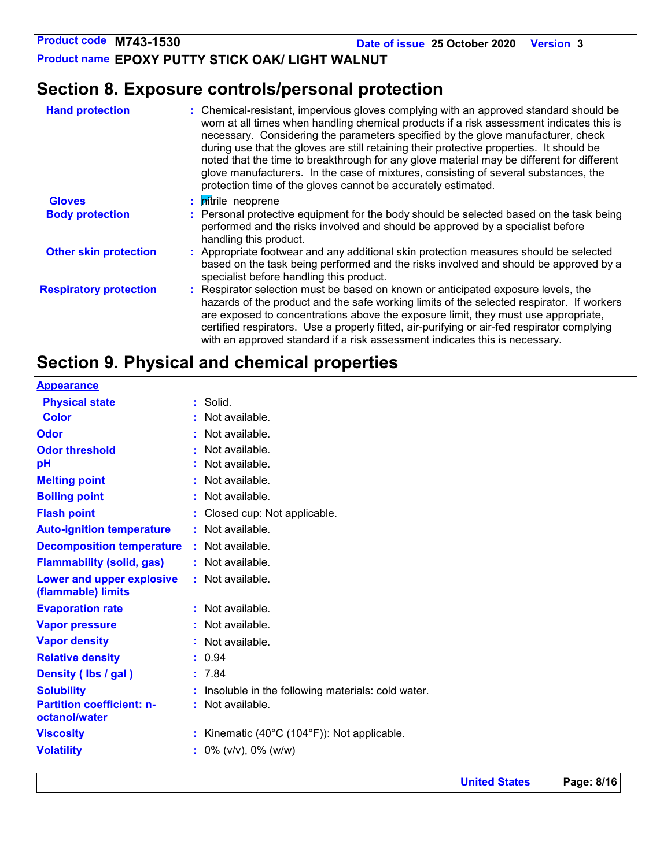**Date of issue 25 October 2020 Version 3**

**Product name EPOXY PUTTY STICK OAK/ LIGHT WALNUT**

## **Section 8. Exposure controls/personal protection**

| <b>Hand protection</b>        | : Chemical-resistant, impervious gloves complying with an approved standard should be<br>worn at all times when handling chemical products if a risk assessment indicates this is<br>necessary. Considering the parameters specified by the glove manufacturer, check<br>during use that the gloves are still retaining their protective properties. It should be<br>noted that the time to breakthrough for any glove material may be different for different<br>glove manufacturers. In the case of mixtures, consisting of several substances, the<br>protection time of the gloves cannot be accurately estimated. |
|-------------------------------|------------------------------------------------------------------------------------------------------------------------------------------------------------------------------------------------------------------------------------------------------------------------------------------------------------------------------------------------------------------------------------------------------------------------------------------------------------------------------------------------------------------------------------------------------------------------------------------------------------------------|
| <b>Gloves</b>                 | : <i>pitrile</i> neoprene                                                                                                                                                                                                                                                                                                                                                                                                                                                                                                                                                                                              |
| <b>Body protection</b>        | : Personal protective equipment for the body should be selected based on the task being<br>performed and the risks involved and should be approved by a specialist before<br>handling this product.                                                                                                                                                                                                                                                                                                                                                                                                                    |
| <b>Other skin protection</b>  | : Appropriate footwear and any additional skin protection measures should be selected<br>based on the task being performed and the risks involved and should be approved by a<br>specialist before handling this product.                                                                                                                                                                                                                                                                                                                                                                                              |
| <b>Respiratory protection</b> | : Respirator selection must be based on known or anticipated exposure levels, the<br>hazards of the product and the safe working limits of the selected respirator. If workers<br>are exposed to concentrations above the exposure limit, they must use appropriate,<br>certified respirators. Use a properly fitted, air-purifying or air-fed respirator complying<br>with an approved standard if a risk assessment indicates this is necessary.                                                                                                                                                                     |

## **Section 9. Physical and chemical properties**

| <b>Appearance</b>                                 |                                                              |
|---------------------------------------------------|--------------------------------------------------------------|
| <b>Physical state</b>                             | $:$ Solid.                                                   |
| <b>Color</b>                                      | : Not available.                                             |
| <b>Odor</b>                                       | : Not available.                                             |
| <b>Odor threshold</b>                             | : Not available.                                             |
| pH                                                | : Not available.                                             |
| <b>Melting point</b>                              | : Not available.                                             |
| <b>Boiling point</b>                              | : Not available.                                             |
| <b>Flash point</b>                                | : Closed cup: Not applicable.                                |
| <b>Auto-ignition temperature</b>                  | : Not available.                                             |
| <b>Decomposition temperature</b>                  | : Not available.                                             |
| <b>Flammability (solid, gas)</b>                  | : Not available.                                             |
| Lower and upper explosive<br>(flammable) limits   | : Not available.                                             |
| <b>Evaporation rate</b>                           | : Not available.                                             |
| <b>Vapor pressure</b>                             | : Not available.                                             |
| <b>Vapor density</b>                              | : Not available.                                             |
| <b>Relative density</b>                           | : 0.94                                                       |
| Density (Ibs / gal)                               | : 7.84                                                       |
| <b>Solubility</b>                                 | Insoluble in the following materials: cold water.            |
| <b>Partition coefficient: n-</b><br>octanol/water | : Not available.                                             |
| <b>Viscosity</b>                                  | : Kinematic $(40^{\circ}C (104^{\circ}F))$ : Not applicable. |
| <b>Volatility</b>                                 | $\frac{1}{2}$ 0% (v/v), 0% (w/w)                             |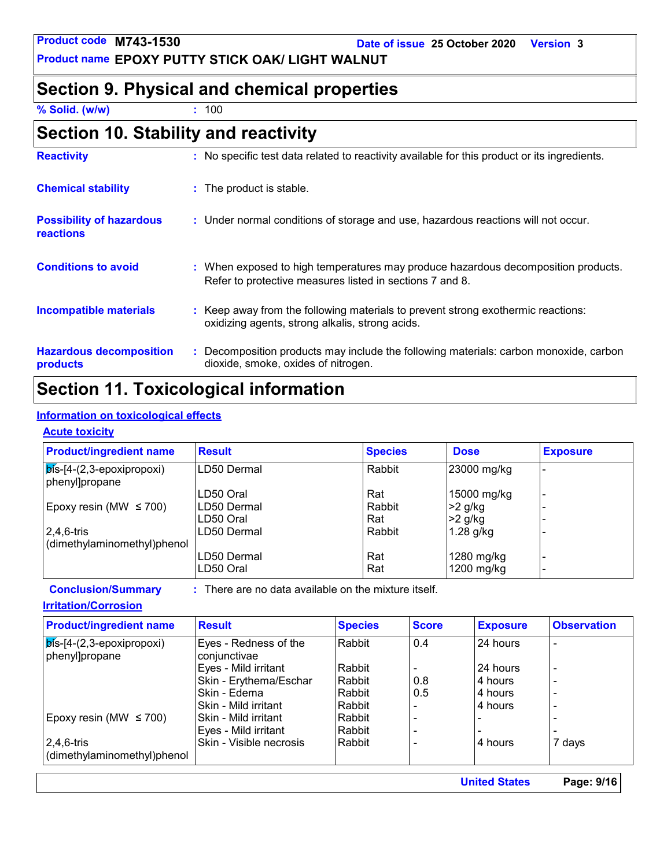**Product name EPOXY PUTTY STICK OAK/ LIGHT WALNUT**

### **Section 9. Physical and chemical properties**

**% Solid. (w/w) :** 100

| Section 10. Stability and reactivity |  |
|--------------------------------------|--|
|--------------------------------------|--|

| <b>Reactivity</b>                            | : No specific test data related to reactivity available for this product or its ingredients.                                                  |
|----------------------------------------------|-----------------------------------------------------------------------------------------------------------------------------------------------|
| <b>Chemical stability</b>                    | : The product is stable.                                                                                                                      |
| <b>Possibility of hazardous</b><br>reactions | : Under normal conditions of storage and use, hazardous reactions will not occur.                                                             |
| <b>Conditions to avoid</b>                   | : When exposed to high temperatures may produce hazardous decomposition products.<br>Refer to protective measures listed in sections 7 and 8. |
| <b>Incompatible materials</b>                | : Keep away from the following materials to prevent strong exothermic reactions:<br>oxidizing agents, strong alkalis, strong acids.           |
| <b>Hazardous decomposition</b><br>products   | : Decomposition products may include the following materials: carbon monoxide, carbon<br>dioxide, smoke, oxides of nitrogen.                  |

## **Section 11. Toxicological information**

### **Information on toxicological effects**

#### **Acute toxicity**

| <b>Product/ingredient name</b>                        | <b>Result</b> | <b>Species</b> | <b>Dose</b> | <b>Exposure</b> |
|-------------------------------------------------------|---------------|----------------|-------------|-----------------|
| $ \vec{b}$ is-[4-(2,3-epoxipropoxi)<br>phenyl]propane | LD50 Dermal   | Rabbit         | 23000 mg/kg |                 |
|                                                       | LD50 Oral     | Rat            | 15000 mg/kg |                 |
| Epoxy resin (MW $\leq$ 700)                           | LD50 Dermal   | Rabbit         | $>2$ g/kg   |                 |
|                                                       | LD50 Oral     | Rat            | $>2$ g/kg   |                 |
| $ 2,4,6$ -tris                                        | LD50 Dermal   | Rabbit         | $1.28$ g/kg |                 |
| dimethylaminomethyl)phenol                            |               |                |             |                 |
|                                                       | LD50 Dermal   | Rat            | 1280 mg/kg  |                 |
|                                                       | LD50 Oral     | Rat            | 1200 mg/kg  |                 |

**Conclusion/Summary :**

: There are no data available on the mixture itself.

#### **Irritation/Corrosion**

| <b>Product/ingredient name</b>                        | <b>Result</b>                         | <b>Species</b> | <b>Score</b> | <b>Exposure</b> | <b>Observation</b> |
|-------------------------------------------------------|---------------------------------------|----------------|--------------|-----------------|--------------------|
| $ \vec{b}$ ls-[4-(2,3-epoxipropoxi)<br>phenyl]propane | Eyes - Redness of the<br>conjunctivae | Rabbit         | 0.4          | 24 hours        | $\overline{a}$     |
|                                                       | Eyes - Mild irritant                  | Rabbit         |              | 24 hours        | $\overline{a}$     |
|                                                       | Skin - Erythema/Eschar                | Rabbit         | 0.8          | 4 hours         | $\overline{a}$     |
|                                                       | Skin - Edema                          | Rabbit         | 0.5          | 4 hours         | $\overline{a}$     |
|                                                       | Skin - Mild irritant                  | Rabbit         |              | 4 hours         | $\overline{a}$     |
| Epoxy resin (MW $\leq$ 700)                           | Skin - Mild irritant                  | Rabbit         |              |                 |                    |
|                                                       | Eyes - Mild irritant                  | Rabbit         |              |                 |                    |
| $2,4,6$ -tris                                         | Skin - Visible necrosis               | Rabbit         |              | 4 hours         | 7 days             |
| dimethylaminomethyl)phenol                            |                                       |                |              |                 |                    |

**United States Page: 9/16**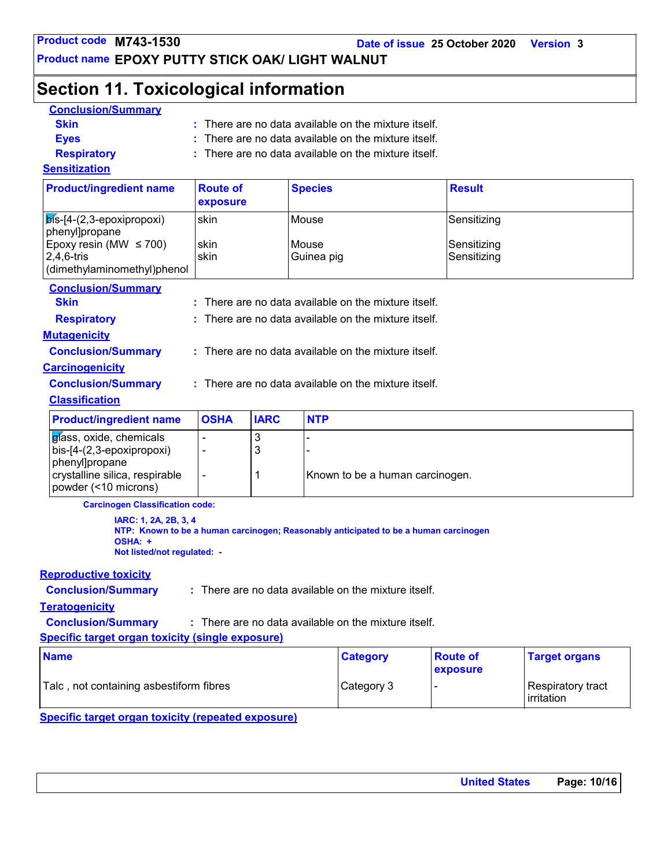**Date of issue 25 October 2020 Version 3**

**Product name EPOXY PUTTY STICK OAK/ LIGHT WALNUT**

### **Section 11. Toxicological information**

| <b>Conclusion/Summary</b> |                                                                 |
|---------------------------|-----------------------------------------------------------------|
| <b>Skin</b>               | $\therefore$ There are no data available on the mixture itself. |
| <b>Eves</b>               | $\therefore$ There are no data available on the mixture itself. |
| <b>Respiratory</b>        | $\therefore$ There are no data available on the mixture itself. |
| <b>Sensitization</b>      |                                                                 |

| <b>Product/ingredient name</b>                       | <b>Route of</b><br>exposure | <b>Species</b>        | <b>Result</b>              |
|------------------------------------------------------|-----------------------------|-----------------------|----------------------------|
| $ \vec{b}$ s-[4-(2,3-epoxipropoxi)<br>phenyl]propane | skin                        | lMouse.               | Sensitizing                |
| Epoxy resin (MW $\leq$ 700)<br>$ 2,4,6$ -tris        | skin<br>skin                | l Mouse<br>Guinea pig | Sensitizing<br>Sensitizing |
| dimethylaminomethyl)phenol                           |                             |                       |                            |

| <b>Conclusion/Summary</b>                                                |                |                                                        |                                                        |  |
|--------------------------------------------------------------------------|----------------|--------------------------------------------------------|--------------------------------------------------------|--|
| <b>Skin</b>                                                              |                | $:$ There are no data available on the mixture itself. |                                                        |  |
| <b>Respiratory</b>                                                       |                | $:$ There are no data available on the mixture itself. |                                                        |  |
| <b>Mutagenicity</b>                                                      |                |                                                        |                                                        |  |
| <b>Conclusion/Summary</b>                                                |                |                                                        | $:$ There are no data available on the mixture itself. |  |
| <b>Carcinogenicity</b>                                                   |                |                                                        |                                                        |  |
| <b>Conclusion/Summary</b>                                                |                |                                                        | : There are no data available on the mixture itself.   |  |
| <b>Classification</b>                                                    |                |                                                        |                                                        |  |
| <b>Product/ingredient name</b>                                           | <b>OSHA</b>    | <b>IARC</b>                                            | <b>NTP</b>                                             |  |
| glass, oxide, chemicals                                                  |                | 3                                                      |                                                        |  |
| bis-[4-(2,3-epoxipropoxi)                                                | ٠              | 3                                                      |                                                        |  |
| phenyl]propane<br>crystalline silica, respirable<br>powder (<10 microns) | $\blacksquare$ |                                                        | Known to be a human carcinogen.                        |  |

**Carcinogen Classification code:**

**IARC: 1, 2A, 2B, 3, 4 NTP: Known to be a human carcinogen; Reasonably anticipated to be a human carcinogen OSHA: + Not listed/not regulated: -**

#### **Reproductive toxicity**

**Conclusion/Summary :** : There are no data available on the mixture itself.

#### **Teratogenicity**

**Conclusion/Summary :** : There are no data available on the mixture itself.

**Specific target organ toxicity (single exposure)**

| <b>Name</b>                              | <b>Category</b> | <b>Route of</b><br>exposure | <b>Target organs</b>               |
|------------------------------------------|-----------------|-----------------------------|------------------------------------|
| 'Talc, not containing asbestiform fibres | Category 3      |                             | Respiratory tract_<br>l irritation |

**Specific target organ toxicity (repeated exposure)**

| <b>United States</b> | Page: 10/16 |
|----------------------|-------------|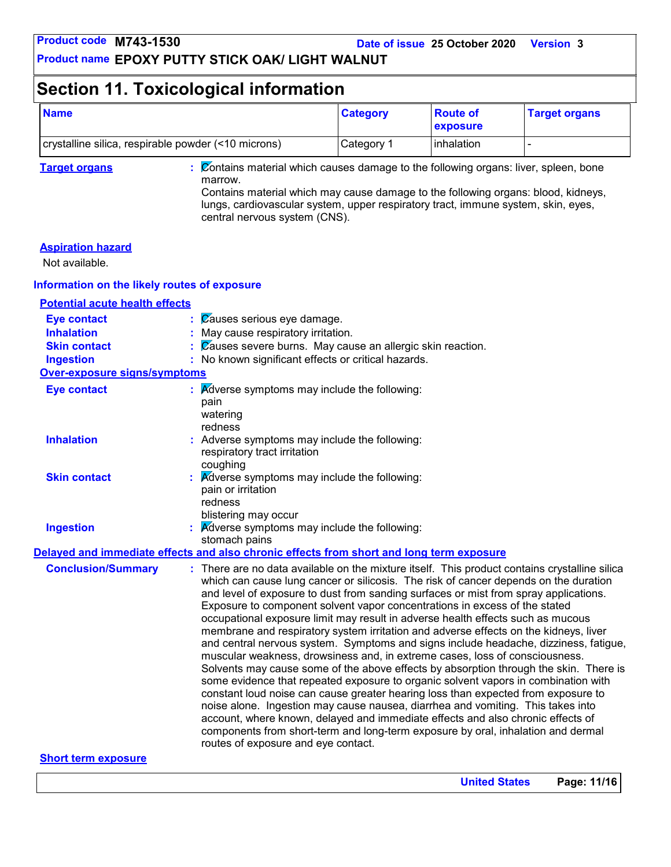**Product name EPOXY PUTTY STICK OAK/ LIGHT WALNUT**

### **Section 11. Toxicological information**

| <b>Name</b>                                         | <b>Category</b> | ∣Route of<br><b>Lexposure</b> | <b>Target organs</b> |
|-----------------------------------------------------|-----------------|-------------------------------|----------------------|
| crystalline silica, respirable powder (<10 microns) | ⊩Category 1     | linhalation                   |                      |

**Target organs :** Contains material which causes damage to the following organs: liver, spleen, bone marrow.

Contains material which may cause damage to the following organs: blood, kidneys, lungs, cardiovascular system, upper respiratory tract, immune system, skin, eyes, central nervous system (CNS).

#### **Aspiration hazard**

Not available.

#### **Information on the likely routes of exposure**

#### **Potential acute health effects**

| <b>Eye contact</b>                  | Causes serious eye damage.                                                                                                                                                                                                                                                                                                                                                                                                                                                                                                                                                                                                                                                                                                                                                                                                                                                                                                                                                                                                                                                                                                                                                                                                                                                         |
|-------------------------------------|------------------------------------------------------------------------------------------------------------------------------------------------------------------------------------------------------------------------------------------------------------------------------------------------------------------------------------------------------------------------------------------------------------------------------------------------------------------------------------------------------------------------------------------------------------------------------------------------------------------------------------------------------------------------------------------------------------------------------------------------------------------------------------------------------------------------------------------------------------------------------------------------------------------------------------------------------------------------------------------------------------------------------------------------------------------------------------------------------------------------------------------------------------------------------------------------------------------------------------------------------------------------------------|
| <b>Inhalation</b>                   | : May cause respiratory irritation.                                                                                                                                                                                                                                                                                                                                                                                                                                                                                                                                                                                                                                                                                                                                                                                                                                                                                                                                                                                                                                                                                                                                                                                                                                                |
| <b>Skin contact</b>                 | $\frac{1}{2}$ $\sqrt{2}$ auses severe burns. May cause an allergic skin reaction.                                                                                                                                                                                                                                                                                                                                                                                                                                                                                                                                                                                                                                                                                                                                                                                                                                                                                                                                                                                                                                                                                                                                                                                                  |
| <b>Ingestion</b>                    | : No known significant effects or critical hazards.                                                                                                                                                                                                                                                                                                                                                                                                                                                                                                                                                                                                                                                                                                                                                                                                                                                                                                                                                                                                                                                                                                                                                                                                                                |
| <b>Over-exposure signs/symptoms</b> |                                                                                                                                                                                                                                                                                                                                                                                                                                                                                                                                                                                                                                                                                                                                                                                                                                                                                                                                                                                                                                                                                                                                                                                                                                                                                    |
| <b>Eye contact</b>                  | $\therefore$ Adverse symptoms may include the following:<br>pain<br>watering<br>redness                                                                                                                                                                                                                                                                                                                                                                                                                                                                                                                                                                                                                                                                                                                                                                                                                                                                                                                                                                                                                                                                                                                                                                                            |
| <b>Inhalation</b>                   | : Adverse symptoms may include the following:<br>respiratory tract irritation<br>coughing                                                                                                                                                                                                                                                                                                                                                                                                                                                                                                                                                                                                                                                                                                                                                                                                                                                                                                                                                                                                                                                                                                                                                                                          |
| <b>Skin contact</b>                 | Adverse symptoms may include the following:<br>pain or irritation<br>redness<br>blistering may occur                                                                                                                                                                                                                                                                                                                                                                                                                                                                                                                                                                                                                                                                                                                                                                                                                                                                                                                                                                                                                                                                                                                                                                               |
| <b>Ingestion</b>                    | $\therefore$ Adverse symptoms may include the following:<br>stomach pains                                                                                                                                                                                                                                                                                                                                                                                                                                                                                                                                                                                                                                                                                                                                                                                                                                                                                                                                                                                                                                                                                                                                                                                                          |
|                                     | Delayed and immediate effects and also chronic effects from short and long term exposure                                                                                                                                                                                                                                                                                                                                                                                                                                                                                                                                                                                                                                                                                                                                                                                                                                                                                                                                                                                                                                                                                                                                                                                           |
| <b>Conclusion/Summary</b>           | : There are no data available on the mixture itself. This product contains crystalline silica<br>which can cause lung cancer or silicosis. The risk of cancer depends on the duration<br>and level of exposure to dust from sanding surfaces or mist from spray applications.<br>Exposure to component solvent vapor concentrations in excess of the stated<br>occupational exposure limit may result in adverse health effects such as mucous<br>membrane and respiratory system irritation and adverse effects on the kidneys, liver<br>and central nervous system. Symptoms and signs include headache, dizziness, fatigue,<br>muscular weakness, drowsiness and, in extreme cases, loss of consciousness.<br>Solvents may cause some of the above effects by absorption through the skin. There is<br>some evidence that repeated exposure to organic solvent vapors in combination with<br>constant loud noise can cause greater hearing loss than expected from exposure to<br>noise alone. Ingestion may cause nausea, diarrhea and vomiting. This takes into<br>account, where known, delayed and immediate effects and also chronic effects of<br>components from short-term and long-term exposure by oral, inhalation and dermal<br>routes of exposure and eye contact. |
| <b>Short term exposure</b>          |                                                                                                                                                                                                                                                                                                                                                                                                                                                                                                                                                                                                                                                                                                                                                                                                                                                                                                                                                                                                                                                                                                                                                                                                                                                                                    |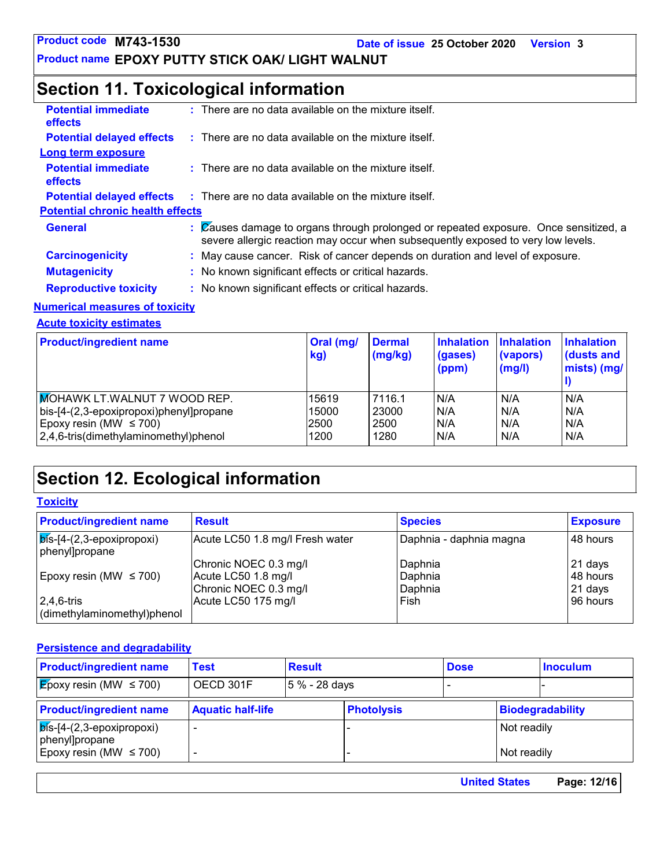**Product name EPOXY PUTTY STICK OAK/ LIGHT WALNUT**

### **Section 11. Toxicological information**

| <b>Potential immediate</b><br><b>effects</b> | $:$ There are no data available on the mixture itself.                                                                                                                   |
|----------------------------------------------|--------------------------------------------------------------------------------------------------------------------------------------------------------------------------|
| <b>Potential delayed effects</b>             | $\therefore$ There are no data available on the mixture itself.                                                                                                          |
| Long term exposure                           |                                                                                                                                                                          |
| <b>Potential immediate</b><br><b>effects</b> | $:$ There are no data available on the mixture itself.                                                                                                                   |
| <b>Potential delayed effects</b>             | $\therefore$ There are no data available on the mixture itself.                                                                                                          |
| <b>Potential chronic health effects</b>      |                                                                                                                                                                          |
| <b>General</b>                               | : Causes damage to organs through prolonged or repeated exposure. Once sensitized, a<br>severe allergic reaction may occur when subsequently exposed to very low levels. |
| <b>Carcinogenicity</b>                       | : May cause cancer. Risk of cancer depends on duration and level of exposure.                                                                                            |
| <b>Mutagenicity</b>                          | : No known significant effects or critical hazards.                                                                                                                      |
| <b>Reproductive toxicity</b>                 | : No known significant effects or critical hazards.                                                                                                                      |
|                                              |                                                                                                                                                                          |

#### **Numerical measures of toxicity**

**Acute toxicity estimates**

| <b>Product/ingredient name</b>          | Oral (mg/<br>kg) | <b>Dermal</b><br>(mg/kg) | <b>Inhalation</b><br>(gases)<br>(ppm) | <b>Inhalation</b><br>(vapors)<br>(mg/l) | <b>Inhalation</b><br>dusts and<br>mists) (mg/ |
|-----------------------------------------|------------------|--------------------------|---------------------------------------|-----------------------------------------|-----------------------------------------------|
| <b>MOHAWK LT.WALNUT 7 WOOD REP.</b>     | 15619            | 7116.1                   | IN/A                                  | N/A                                     | N/A                                           |
| bis-[4-(2,3-epoxipropoxi)phenyl]propane | 15000            | 23000                    | N/A                                   | N/A                                     | N/A                                           |
| Epoxy resin (MW $\leq$ 700)             | 2500             | 2500                     | N/A                                   | N/A                                     | N/A                                           |
| 2,4,6-tris(dimethylaminomethyl)phenol   | 1200             | 1280                     | N/A                                   | N/A                                     | N/A                                           |

### **Section 12. Ecological information**

#### **Toxicity**

| <b>Product/ingredient name</b>                            | <b>Result</b>                                                         | <b>Species</b>                | <b>Exposure</b>                |
|-----------------------------------------------------------|-----------------------------------------------------------------------|-------------------------------|--------------------------------|
| $\sqrt{p}$ ls- $[4-(2,3-epoxipropoxi)]$<br>phenyl]propane | Acute LC50 1.8 mg/l Fresh water                                       | Daphnia - daphnia magna       | 48 hours                       |
| Epoxy resin (MW $\leq$ 700)                               | Chronic NOEC 0.3 mg/l<br>Acute LC50 1.8 mg/l<br>Chronic NOEC 0.3 mg/l | Daphnia<br>Daphnia<br>Daphnia | 21 days<br>48 hours<br>21 days |
| $ 2,4,6$ -tris<br>dimethylaminomethyl)phenol              | Acute LC50 175 mg/l                                                   | Fish                          | 96 hours                       |

#### **Persistence and degradability**

| <b>Product/ingredient name</b>                        | Test                     | <b>Result</b> |                   | <b>Dose</b> |             | <b>Inoculum</b>  |
|-------------------------------------------------------|--------------------------|---------------|-------------------|-------------|-------------|------------------|
| $\mathcal{E}_{\text{poxy}}$ resin (MW $\leq$ 700)     | OECD 301F                | 5 % - 28 days |                   |             |             |                  |
| <b>Product/ingredient name</b>                        | <b>Aquatic half-life</b> |               | <b>Photolysis</b> |             |             | Biodegradability |
| $\sqrt{p}$ ís-[4-(2,3-epoxipropoxi)<br>phenyl]propane |                          |               |                   |             | Not readily |                  |
| Epoxy resin (MW $\leq$ 700)                           |                          |               |                   |             | Not readily |                  |

| Page: 12/16<br><b>United States</b> |
|-------------------------------------|
|                                     |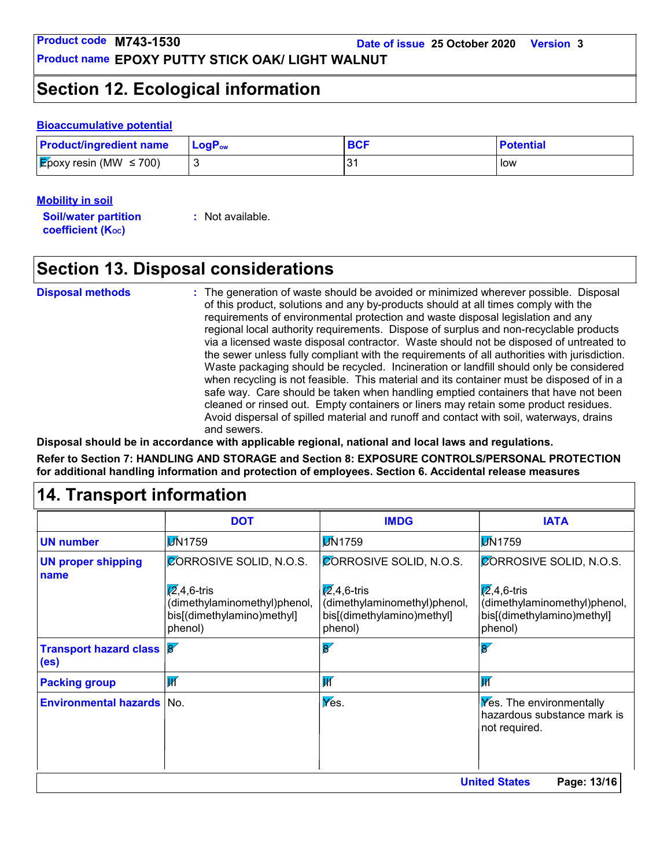**Product name EPOXY PUTTY STICK OAK/ LIGHT WALNUT**

### **Section 12. Ecological information**

#### **Bioaccumulative potential**

| <b>Product/ingredient name</b>      | $\mathsf{LogP}_\mathsf{ow}$ | BCI | <b>Potential</b> |
|-------------------------------------|-----------------------------|-----|------------------|
| <b>E</b> poxy resin (MW $\leq$ 700) |                             | つっ  | low              |

#### **Mobility in soil**

**Soil/water partition coefficient (K**<sub>oc</sub>) **:** Not available.

### **Section 13. Disposal considerations**

The generation of waste should be avoided or minimized wherever possible. Disposal of this product, solutions and any by-products should at all times comply with the requirements of environmental protection and waste disposal legislation and any regional local authority requirements. Dispose of surplus and non-recyclable products via a licensed waste disposal contractor. Waste should not be disposed of untreated to the sewer unless fully compliant with the requirements of all authorities with jurisdiction. Waste packaging should be recycled. Incineration or landfill should only be considered when recycling is not feasible. This material and its container must be disposed of in a safe way. Care should be taken when handling emptied containers that have not been cleaned or rinsed out. Empty containers or liners may retain some product residues. Avoid dispersal of spilled material and runoff and contact with soil, waterways, drains and sewers. **Disposal methods :** safe way. Care should b<br>
cleaned or rinsed out. En<br>
Avoid dispersal of spilled<br>
and sewers.<br>
Disposal should be in accordance with applicable regio<br>
Refer to Section 7: HANDLING AND STORAGE and Sect<br>
for additional handlin

**Disposal should be in accordance with applicable regional, national and local laws and regulations. Refer to Section 7: HANDLING AND STORAGE and Section 8: EXPOSURE CONTROLS/PERSONAL PROTECTION for additional handling information and protection of employees. Section 6. Accidental release measures**

|                                   | <b>DOT</b>                                                                                    | <b>IMDG</b>                                                                                   | <b>IATA</b>                                                                                   |
|-----------------------------------|-----------------------------------------------------------------------------------------------|-----------------------------------------------------------------------------------------------|-----------------------------------------------------------------------------------------------|
| <b>UN number</b>                  | <b>DN1759</b>                                                                                 | <b>DN1759</b>                                                                                 | <b>M</b> 1759                                                                                 |
| <b>UN proper shipping</b><br>name | CORROSIVE SOLID, N.O.S.                                                                       | <b>CORROSIVE SOLID, N.O.S.</b>                                                                | <b>CORROSIVE SOLID, N.O.S.</b>                                                                |
|                                   | $\sqrt{2}$ ,4,6-tris<br>(dimethylaminomethyl)phenol,<br>bis[(dimethylamino)methyl]<br>phenol) | $\sqrt{2}$ ,4,6-tris<br>(dimethylaminomethyl)phenol,<br>bis[(dimethylamino)methyl]<br>phenol) | $\sqrt{2}$ ,4,6-tris<br>(dimethylaminomethyl)phenol,<br>bis[(dimethylamino)methyl]<br>phenol) |
| Transport hazard class 8<br>(es)  |                                                                                               | $\overline{\mathbf{g}}$                                                                       | $\overline{8}$                                                                                |
| <b>Packing group</b>              | $\overline{\mathbf{M}}$                                                                       | $\overline{\mathsf{W}}$                                                                       | IИ                                                                                            |
| <b>Environmental hazards No.</b>  |                                                                                               | $\sqrt{\mathsf{V}}$ es.                                                                       | <b>Yes.</b> The environmentally<br>hazardous substance mark is<br>not required.               |
|                                   |                                                                                               |                                                                                               | <b>United States</b><br>Page: 13/16                                                           |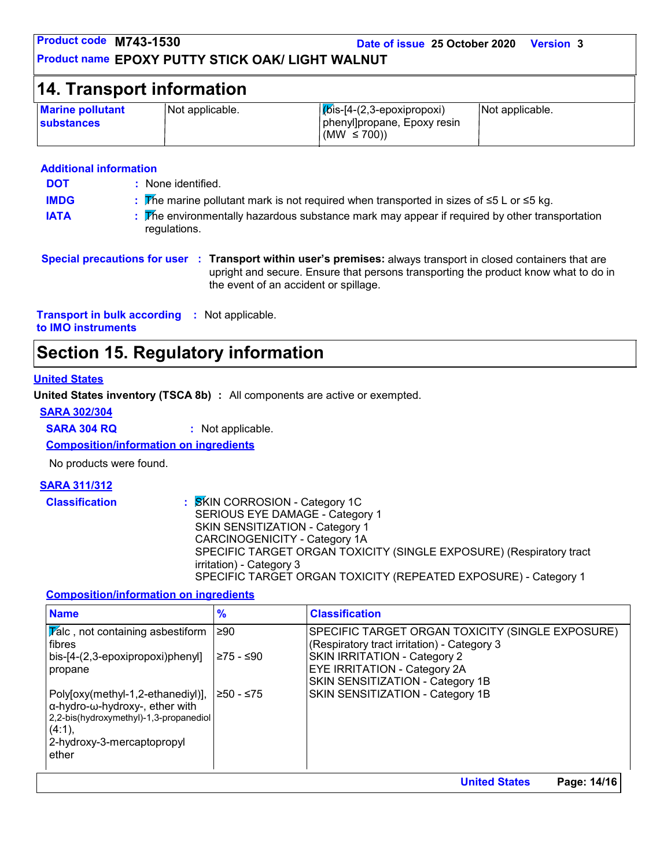| Product code M743-1530<br>Date of issue 25 October 2020<br><b>Version 3</b><br><b>Product name EPOXY PUTTY STICK OAK/ LIGHT WALNUT</b> |                 |                                                                                  |                 |  |  |  |
|----------------------------------------------------------------------------------------------------------------------------------------|-----------------|----------------------------------------------------------------------------------|-----------------|--|--|--|
| <b>14. Transport information</b>                                                                                                       |                 |                                                                                  |                 |  |  |  |
| <b>Marine pollutant</b><br><b>substances</b>                                                                                           | Not applicable. | $ K$ is-[4-(2,3-epoxipropoxi)<br>phenyl]propane, Epoxy resin<br>(MW $\leq$ 700)) | Not applicable. |  |  |  |

#### **Additional information**

**DOT IMDG**

- None identified. **:**
	- The marine pollutant mark is not required when transported in sizes of ≤5 L or ≤5 kg. **:**
- **IATA EXECUTE:** The environmentally hazardous substance mark may appear if required by other transportation regulations.

**Special precautions for user Transport within user's premises:** always transport in closed containers that are **:** upright and secure. Ensure that persons transporting the product know what to do in the event of an accident or spillage.

**Transport in bulk according :** Not applicable. **to IMO instruments**

### **Section 15. Regulatory information**

#### **United States**

**United States inventory (TSCA 8b) :** All components are active or exempted.

#### **SARA 302/304**

**SARA 304 RQ :** Not applicable.

**Composition/information on ingredients**

No products were found.

#### **SARA 311/312**

**Classification :** SKIN CORROSION - Category 1C SERIOUS EYE DAMAGE - Category 1 SKIN SENSITIZATION - Category 1 CARCINOGENICITY - Category 1A SPECIFIC TARGET ORGAN TOXICITY (SINGLE EXPOSURE) (Respiratory tract irritation) - Category 3 SPECIFIC TARGET ORGAN TOXICITY (REPEATED EXPOSURE) - Category 1

#### **Composition/information on ingredients**

| <b>Name</b>                                                                      | $\frac{9}{6}$ | <b>Classification</b>                                                       |
|----------------------------------------------------------------------------------|---------------|-----------------------------------------------------------------------------|
| $ \overline{Y}$ alc, not containing asbestiform                                  | $\geq 90$     | SPECIFIC TARGET ORGAN TOXICITY (SINGLE EXPOSURE)                            |
| l fibres<br>bis-[4-(2,3-epoxipropoxi)phenyl]                                     | ≥75 - ≤90     | (Respiratory tract irritation) - Category 3<br>SKIN IRRITATION - Category 2 |
| propane                                                                          |               | <b>EYE IRRITATION - Category 2A</b>                                         |
|                                                                                  |               | SKIN SENSITIZATION - Category 1B                                            |
| Poly[oxy(methyl-1,2-ethanediyl)],                                                | ≥50 - ≤75     | SKIN SENSITIZATION - Category 1B                                            |
| $\alpha$ -hydro-w-hydroxy-, ether with<br>2,2-bis(hydroxymethyl)-1,3-propanediol |               |                                                                             |
| (4:1),                                                                           |               |                                                                             |
| 2-hydroxy-3-mercaptopropyl                                                       |               |                                                                             |
| ether                                                                            |               |                                                                             |
|                                                                                  |               | Page: 14/16<br><b>United States</b>                                         |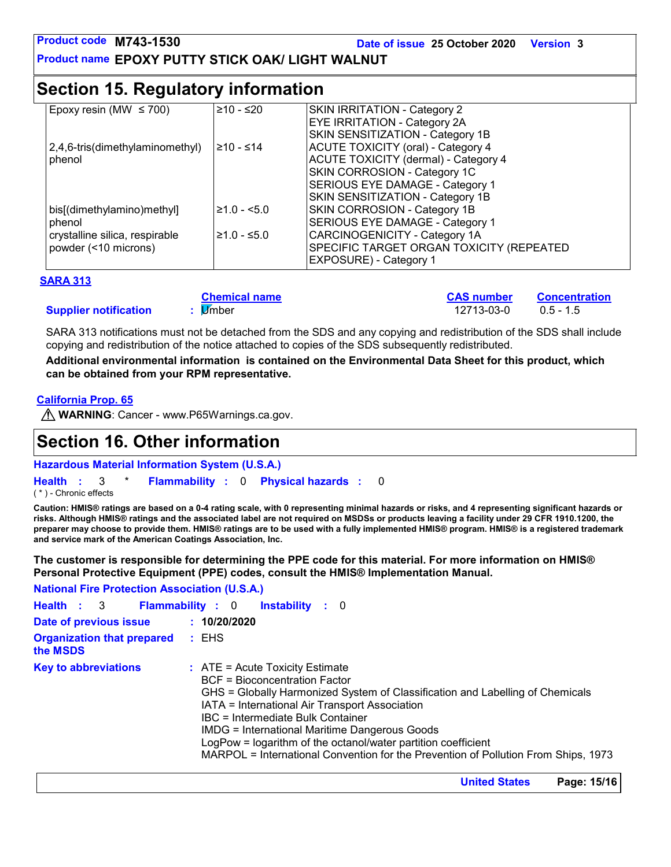**Date of issue 25 October 2020 Version 3**

**Product name EPOXY PUTTY STICK OAK/ LIGHT WALNUT**

### **Section 15. Regulatory information**

| Epoxy resin (MW $\leq$ 700)     | ≥10 - ≤20     | SKIN IRRITATION - Category 2                |
|---------------------------------|---------------|---------------------------------------------|
|                                 |               | <b>EYE IRRITATION - Category 2A</b>         |
|                                 |               | SKIN SENSITIZATION - Category 1B            |
| 2,4,6-tris(dimethylaminomethyl) | $≥10 - ≤14$   | <b>ACUTE TOXICITY (oral) - Category 4</b>   |
| phenol                          |               | <b>ACUTE TOXICITY (dermal) - Category 4</b> |
|                                 |               | SKIN CORROSION - Category 1C                |
|                                 |               | SERIOUS EYE DAMAGE - Category 1             |
|                                 |               | SKIN SENSITIZATION - Category 1B            |
| bis[(dimethylamino)methyl]      | $≥1.0 - 5.0$  | SKIN CORROSION - Category 1B                |
| phenol                          |               | SERIOUS EYE DAMAGE - Category 1             |
| crystalline silica, respirable  | $≥1.0 - ≤5.0$ | <b>CARCINOGENICITY - Category 1A</b>        |
| powder (<10 microns)            |               | SPECIFIC TARGET ORGAN TOXICITY (REPEATED    |
|                                 |               | <b>EXPOSURE)</b> - Category 1               |

#### **SARA 313**

|                              | <b>Chemical name</b> | <b>CAS number</b> | Concentration |
|------------------------------|----------------------|-------------------|---------------|
| <b>Supplier notification</b> | li∕mber              | 12713-03-0        | $0.5 - 1.5$   |

SARA 313 notifications must not be detached from the SDS and any copying and redistribution of the SDS shall include copying and redistribution of the notice attached to copies of the SDS subsequently redistributed.

**Additional environmental information is contained on the Environmental Data Sheet for this product, which can be obtained from your RPM representative.**

#### **California Prop. 65**

**M** WARNING: Cancer - www.P65Warnings.ca.gov.

### **Section 16. Other information**

**Hazardous Material Information System (U.S.A.)**

```
Health : 3 * Flammability : 0 Physical hazards : 0
                                                 0
```
#### ( \* ) - Chronic effects

**Caution: HMIS® ratings are based on a 0-4 rating scale, with 0 representing minimal hazards or risks, and 4 representing significant hazards or risks. Although HMIS® ratings and the associated label are not required on MSDSs or products leaving a facility under 29 CFR 1910.1200, the preparer may choose to provide them. HMIS® ratings are to be used with a fully implemented HMIS® program. HMIS® is a registered trademark and service mark of the American Coatings Association, Inc.**

**The customer is responsible for determining the PPE code for this material. For more information on HMIS® Personal Protective Equipment (PPE) codes, consult the HMIS® Implementation Manual.**

**National Fire Protection Association (U.S.A.)**

|                                                                                                                                                                                                                                                                                                                                                                                                                                                                                                   | Health : 3 Flammability : 0 Instability : 0 |
|---------------------------------------------------------------------------------------------------------------------------------------------------------------------------------------------------------------------------------------------------------------------------------------------------------------------------------------------------------------------------------------------------------------------------------------------------------------------------------------------------|---------------------------------------------|
| Date of previous issue                                                                                                                                                                                                                                                                                                                                                                                                                                                                            | : 10/20/2020                                |
| <b>Organization that prepared : EHS</b><br>the MSDS                                                                                                                                                                                                                                                                                                                                                                                                                                               |                                             |
| <b>Key to abbreviations</b><br>$\therefore$ ATE = Acute Toxicity Estimate<br><b>BCF</b> = Bioconcentration Factor<br>GHS = Globally Harmonized System of Classification and Labelling of Chemicals<br>IATA = International Air Transport Association<br>IBC = Intermediate Bulk Container<br>IMDG = International Maritime Dangerous Goods<br>LogPow = logarithm of the octanol/water partition coefficient<br>MARPOL = International Convention for the Prevention of Pollution From Ships, 1973 |                                             |

**United States Page: 15/16**